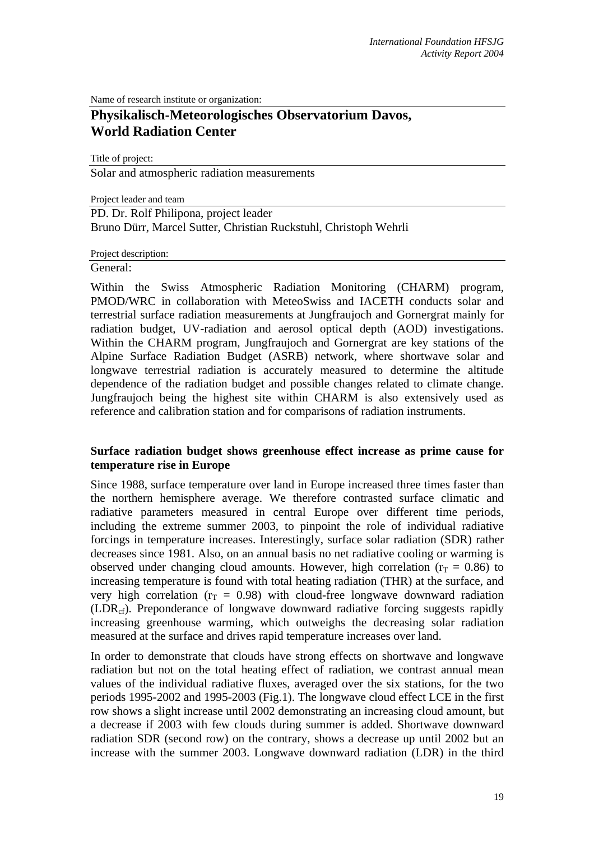Name of research institute or organization:

# **Physikalisch-Meteorologisches Observatorium Davos, World Radiation Center**

Title of project: Solar and atmospheric radiation measurements

Project leader and team

PD. Dr. Rolf Philipona, project leader Bruno Dürr, Marcel Sutter, Christian Ruckstuhl, Christoph Wehrli

Project description:

General:

Within the Swiss Atmospheric Radiation Monitoring (CHARM) program, PMOD/WRC in collaboration with MeteoSwiss and IACETH conducts solar and terrestrial surface radiation measurements at Jungfraujoch and Gornergrat mainly for radiation budget, UV-radiation and aerosol optical depth (AOD) investigations. Within the CHARM program, Jungfraujoch and Gornergrat are key stations of the Alpine Surface Radiation Budget (ASRB) network, where shortwave solar and longwave terrestrial radiation is accurately measured to determine the altitude dependence of the radiation budget and possible changes related to climate change. Jungfraujoch being the highest site within CHARM is also extensively used as reference and calibration station and for comparisons of radiation instruments.

## **Surface radiation budget shows greenhouse effect increase as prime cause for temperature rise in Europe**

Since 1988, surface temperature over land in Europe increased three times faster than the northern hemisphere average. We therefore contrasted surface climatic and radiative parameters measured in central Europe over different time periods, including the extreme summer 2003, to pinpoint the role of individual radiative forcings in temperature increases. Interestingly, surface solar radiation (SDR) rather decreases since 1981. Also, on an annual basis no net radiative cooling or warming is observed under changing cloud amounts. However, high correlation ( $r_T = 0.86$ ) to increasing temperature is found with total heating radiation (THR) at the surface, and very high correlation ( $r_T = 0.98$ ) with cloud-free longwave downward radiation (LDRcf). Preponderance of longwave downward radiative forcing suggests rapidly increasing greenhouse warming, which outweighs the decreasing solar radiation measured at the surface and drives rapid temperature increases over land.

In order to demonstrate that clouds have strong effects on shortwave and longwave radiation but not on the total heating effect of radiation, we contrast annual mean values of the individual radiative fluxes, averaged over the six stations, for the two periods 1995-2002 and 1995-2003 (Fig.1). The longwave cloud effect LCE in the first row shows a slight increase until 2002 demonstrating an increasing cloud amount, but a decrease if 2003 with few clouds during summer is added. Shortwave downward radiation SDR (second row) on the contrary, shows a decrease up until 2002 but an increase with the summer 2003. Longwave downward radiation (LDR) in the third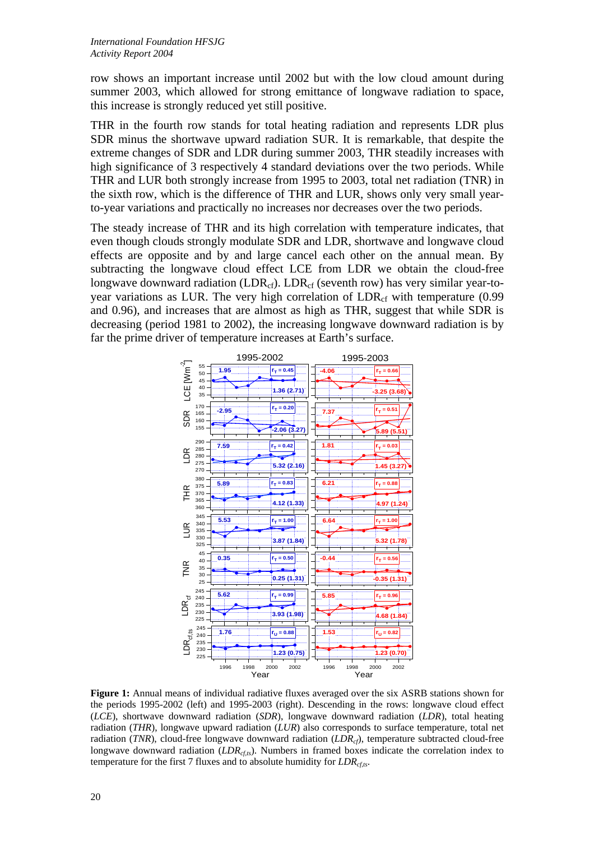row shows an important increase until 2002 but with the low cloud amount during summer 2003, which allowed for strong emittance of longwave radiation to space, this increase is strongly reduced yet still positive.

THR in the fourth row stands for total heating radiation and represents LDR plus SDR minus the shortwave upward radiation SUR. It is remarkable, that despite the extreme changes of SDR and LDR during summer 2003, THR steadily increases with high significance of 3 respectively 4 standard deviations over the two periods. While THR and LUR both strongly increase from 1995 to 2003, total net radiation (TNR) in the sixth row, which is the difference of THR and LUR, shows only very small yearto-year variations and practically no increases nor decreases over the two periods.

The steady increase of THR and its high correlation with temperature indicates, that even though clouds strongly modulate SDR and LDR, shortwave and longwave cloud effects are opposite and by and large cancel each other on the annual mean. By subtracting the longwave cloud effect LCE from LDR we obtain the cloud-free longwave downward radiation (LDR<sub>cf</sub>). LDR<sub>cf</sub> (seventh row) has very similar year-toyear variations as LUR. The very high correlation of  $LDR<sub>cf</sub>$  with temperature (0.99 and 0.96), and increases that are almost as high as THR, suggest that while SDR is decreasing (period 1981 to 2002), the increasing longwave downward radiation is by far the prime driver of temperature increases at Earth's surface.



**Figure 1:** Annual means of individual radiative fluxes averaged over the six ASRB stations shown for the periods 1995-2002 (left) and 1995-2003 (right). Descending in the rows: longwave cloud effect (*LCE*), shortwave downward radiation (*SDR*), longwave downward radiation (*LDR*), total heating radiation (*THR*), longwave upward radiation (*LUR*) also corresponds to surface temperature, total net radiation (*TNR*), cloud-free longwave downward radiation (*LDR<sub>cf</sub>*), temperature subtracted cloud-free longwave downward radiation (*LDR<sub>cfts</sub>*). Numbers in framed boxes indicate the correlation index to temperature for the first 7 fluxes and to absolute humidity for  $LDR<sub>cts</sub>$ .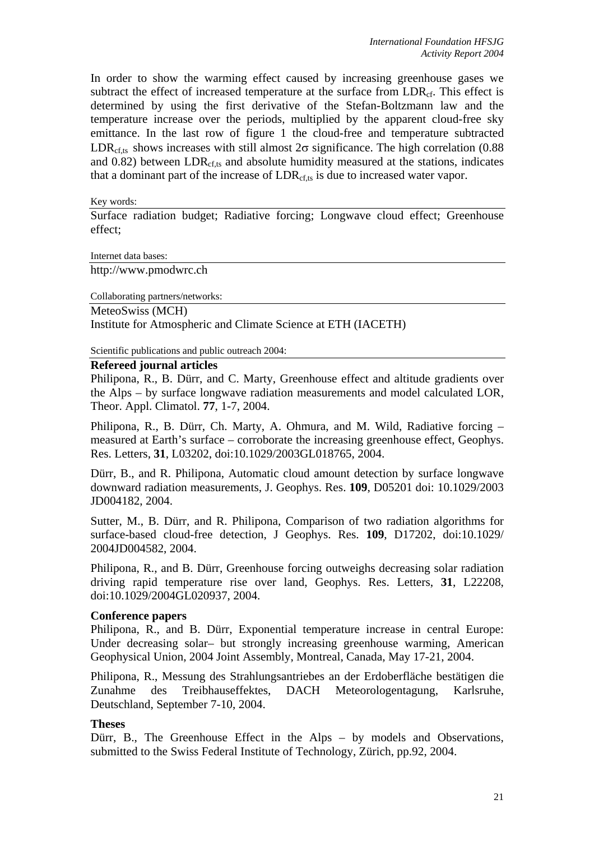In order to show the warming effect caused by increasing greenhouse gases we subtract the effect of increased temperature at the surface from  $\text{LDR}_{cf.}$ . This effect is determined by using the first derivative of the Stefan-Boltzmann law and the temperature increase over the periods, multiplied by the apparent cloud-free sky emittance. In the last row of figure 1 the cloud-free and temperature subtracted LDR<sub>cf ts</sub> shows increases with still almost  $2\sigma$  significance. The high correlation (0.88) and  $0.82$ ) between LDR<sub>cf,ts</sub> and absolute humidity measured at the stations, indicates that a dominant part of the increase of  $LDR<sub>cf,ts</sub>$  is due to increased water vapor.

Key words:

Surface radiation budget; Radiative forcing; Longwave cloud effect; Greenhouse effect;

Internet data bases:

http://www.pmodwrc.ch

Collaborating partners/networks:

MeteoSwiss (MCH) Institute for Atmospheric and Climate Science at ETH (IACETH)

Scientific publications and public outreach 2004:

#### **Refereed journal articles**

Philipona, R., B. Dürr, and C. Marty, Greenhouse effect and altitude gradients over the Alps – by surface longwave radiation measurements and model calculated LOR, Theor. Appl. Climatol. **77**, 1-7, 2004.

Philipona, R., B. Dürr, Ch. Marty, A. Ohmura, and M. Wild, Radiative forcing – measured at Earth's surface – corroborate the increasing greenhouse effect, Geophys. Res. Letters, **31**, L03202, doi:10.1029/2003GL018765, 2004.

Dürr, B., and R. Philipona, Automatic cloud amount detection by surface longwave downward radiation measurements, J. Geophys. Res. **109**, D05201 doi: 10.1029/2003 JD004182, 2004.

Sutter, M., B. Dürr, and R. Philipona, Comparison of two radiation algorithms for surface-based cloud-free detection, J Geophys. Res. **109**, D17202, doi:10.1029/ 2004JD004582, 2004.

Philipona, R., and B. Dürr, Greenhouse forcing outweighs decreasing solar radiation driving rapid temperature rise over land, Geophys. Res. Letters, **31**, L22208, doi:10.1029/2004GL020937, 2004.

#### **Conference papers**

Philipona, R., and B. Dürr, Exponential temperature increase in central Europe: Under decreasing solar– but strongly increasing greenhouse warming, American Geophysical Union, 2004 Joint Assembly, Montreal, Canada, May 17-21, 2004.

Philipona, R., Messung des Strahlungsantriebes an der Erdoberfläche bestätigen die Zunahme des Treibhauseffektes, DACH Meteorologentagung, Karlsruhe, Deutschland, September 7-10, 2004.

#### **Theses**

Dürr, B., The Greenhouse Effect in the Alps – by models and Observations, submitted to the Swiss Federal Institute of Technology, Zürich, pp.92, 2004.